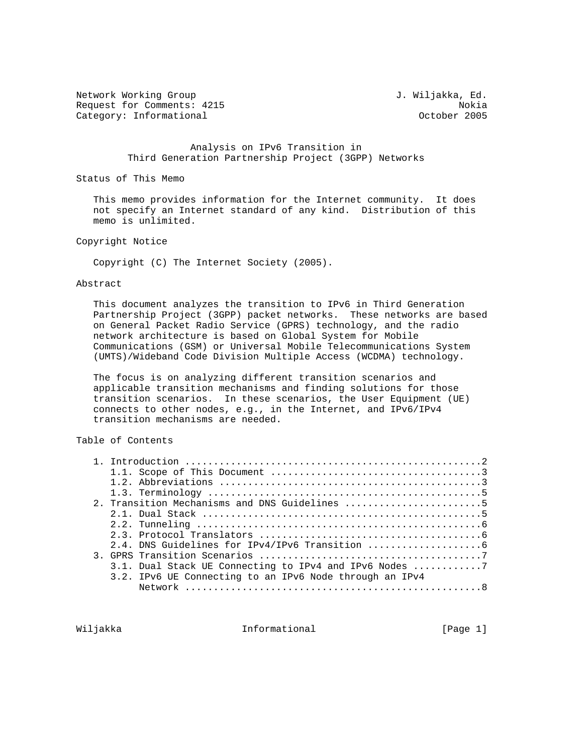Network Working Group 3. Webson 2008 3. Wiljakka, Ed. Request for Comments: 4215<br>Category: Informational example of the Category: Informational Category: Informational

 Analysis on IPv6 Transition in Third Generation Partnership Project (3GPP) Networks

Status of This Memo

 This memo provides information for the Internet community. It does not specify an Internet standard of any kind. Distribution of this memo is unlimited.

Copyright Notice

Copyright (C) The Internet Society (2005).

Abstract

 This document analyzes the transition to IPv6 in Third Generation Partnership Project (3GPP) packet networks. These networks are based on General Packet Radio Service (GPRS) technology, and the radio network architecture is based on Global System for Mobile Communications (GSM) or Universal Mobile Telecommunications System (UMTS)/Wideband Code Division Multiple Access (WCDMA) technology.

 The focus is on analyzing different transition scenarios and applicable transition mechanisms and finding solutions for those transition scenarios. In these scenarios, the User Equipment (UE) connects to other nodes, e.g., in the Internet, and IPv6/IPv4 transition mechanisms are needed.

Table of Contents

|  | 2. Transition Mechanisms and DNS Guidelines 5           |
|--|---------------------------------------------------------|
|  |                                                         |
|  |                                                         |
|  |                                                         |
|  |                                                         |
|  |                                                         |
|  | 3.1. Dual Stack UE Connecting to IPv4 and IPv6 Nodes 7  |
|  | 3.2. IPv6 UE Connecting to an IPv6 Node through an IPv4 |
|  |                                                         |
|  |                                                         |

Wiljakka **Informational** Informational [Page 1]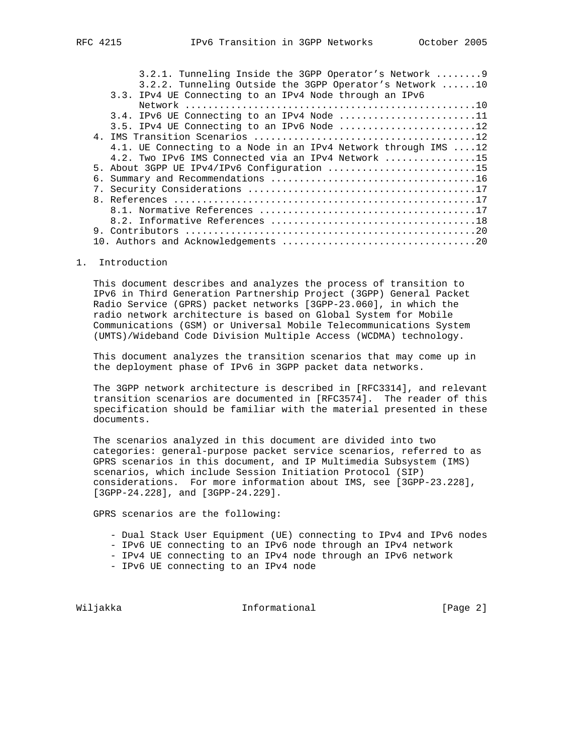| 3.2.1. Tunneling Inside the 3GPP Operator's Network  9                           |
|----------------------------------------------------------------------------------|
| 3.2.2. Tunneling Outside the 3GPP Operator's Network 10                          |
| 3.3. IPv4 UE Connecting to an IPv4 Node through an IPv6                          |
|                                                                                  |
| 3.4. IPv6 UE Connecting to an IPv4 Node 11                                       |
|                                                                                  |
|                                                                                  |
| 4.1. UE Connecting to a Node in an IPv4 Network through IMS 12                   |
| 4.2. Two IPv6 IMS Connected via an IPv4 Network $\ldots \ldots \ldots \ldots 15$ |
| 5. About 3GPP UE IPv4/IPv6 Configuration 15                                      |
|                                                                                  |
|                                                                                  |
|                                                                                  |
|                                                                                  |
|                                                                                  |
|                                                                                  |
|                                                                                  |
|                                                                                  |

# 1. Introduction

 This document describes and analyzes the process of transition to IPv6 in Third Generation Partnership Project (3GPP) General Packet Radio Service (GPRS) packet networks [3GPP-23.060], in which the radio network architecture is based on Global System for Mobile Communications (GSM) or Universal Mobile Telecommunications System (UMTS)/Wideband Code Division Multiple Access (WCDMA) technology.

 This document analyzes the transition scenarios that may come up in the deployment phase of IPv6 in 3GPP packet data networks.

 The 3GPP network architecture is described in [RFC3314], and relevant transition scenarios are documented in [RFC3574]. The reader of this specification should be familiar with the material presented in these documents.

 The scenarios analyzed in this document are divided into two categories: general-purpose packet service scenarios, referred to as GPRS scenarios in this document, and IP Multimedia Subsystem (IMS) scenarios, which include Session Initiation Protocol (SIP) considerations. For more information about IMS, see [3GPP-23.228], [3GPP-24.228], and [3GPP-24.229].

GPRS scenarios are the following:

- Dual Stack User Equipment (UE) connecting to IPv4 and IPv6 nodes
- IPv6 UE connecting to an IPv6 node through an IPv4 network
- IPv4 UE connecting to an IPv4 node through an IPv6 network
- IPv6 UE connecting to an IPv4 node

Wiljakka **Informational** Informational [Page 2]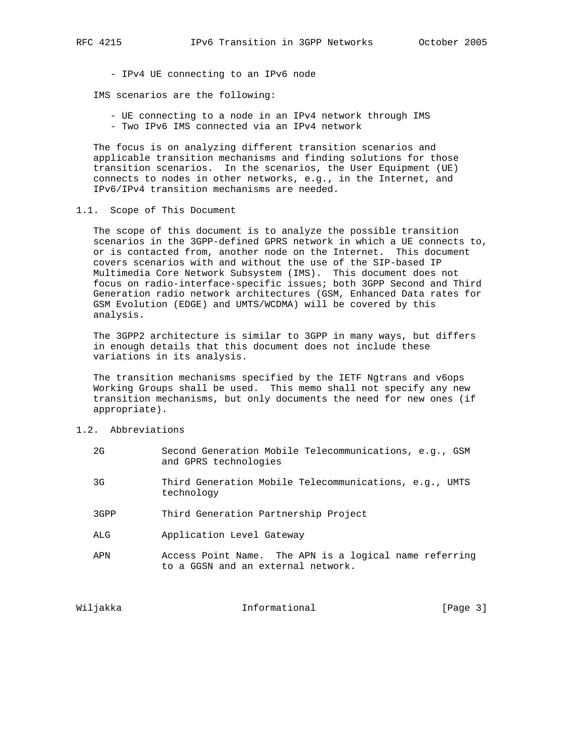IMS scenarios are the following:

 - UE connecting to a node in an IPv4 network through IMS - Two IPv6 IMS connected via an IPv4 network

 The focus is on analyzing different transition scenarios and applicable transition mechanisms and finding solutions for those transition scenarios. In the scenarios, the User Equipment (UE) connects to nodes in other networks, e.g., in the Internet, and IPv6/IPv4 transition mechanisms are needed.

# 1.1. Scope of This Document

 The scope of this document is to analyze the possible transition scenarios in the 3GPP-defined GPRS network in which a UE connects to, or is contacted from, another node on the Internet. This document covers scenarios with and without the use of the SIP-based IP Multimedia Core Network Subsystem (IMS). This document does not focus on radio-interface-specific issues; both 3GPP Second and Third Generation radio network architectures (GSM, Enhanced Data rates for GSM Evolution (EDGE) and UMTS/WCDMA) will be covered by this analysis.

 The 3GPP2 architecture is similar to 3GPP in many ways, but differs in enough details that this document does not include these variations in its analysis.

 The transition mechanisms specified by the IETF Ngtrans and v6ops Working Groups shall be used. This memo shall not specify any new transition mechanisms, but only documents the need for new ones (if appropriate).

1.2. Abbreviations

Wiljakka **Informational** Informational [Page 3]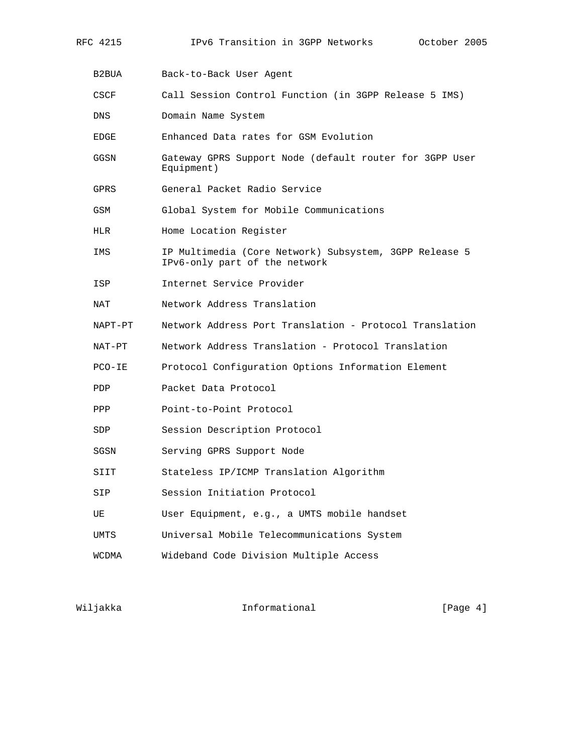| CSCF       | Call Session Control Function (in 3GPP Release 5 IMS)                                   |
|------------|-----------------------------------------------------------------------------------------|
| DNS        | Domain Name System                                                                      |
| EDGE       | Enhanced Data rates for GSM Evolution                                                   |
| GGSN       | Gateway GPRS Support Node (default router for 3GPP User<br>Equipment)                   |
| GPRS       | General Packet Radio Service                                                            |
| GSM        | Global System for Mobile Communications                                                 |
| HLR        | Home Location Register                                                                  |
| IMS        | IP Multimedia (Core Network) Subsystem, 3GPP Release 5<br>IPv6-only part of the network |
| ISP        | Internet Service Provider                                                               |
| NAT        | Network Address Translation                                                             |
| NAPT-PT    | Network Address Port Translation - Protocol Translation                                 |
| NAT-PT     | Network Address Translation - Protocol Translation                                      |
| $PCO-IE$   | Protocol Configuration Options Information Element                                      |
| <b>PDP</b> | Packet Data Protocol                                                                    |
| PPP        | Point-to-Point Protocol                                                                 |
| SDP        | Session Description Protocol                                                            |
| SGSN       | Serving GPRS Support Node                                                               |
| SIIT       | Stateless IP/ICMP Translation Algorithm                                                 |
| SIP        | Session Initiation Protocol                                                             |
| UE         | User Equipment, e.g., a UMTS mobile handset                                             |
| UMTS       | Universal Mobile Telecommunications System                                              |
| WCDMA      | Wideband Code Division Multiple Access                                                  |
|            |                                                                                         |

Wiljakka Informational [Page 4]

B2BUA Back-to-Back User Agent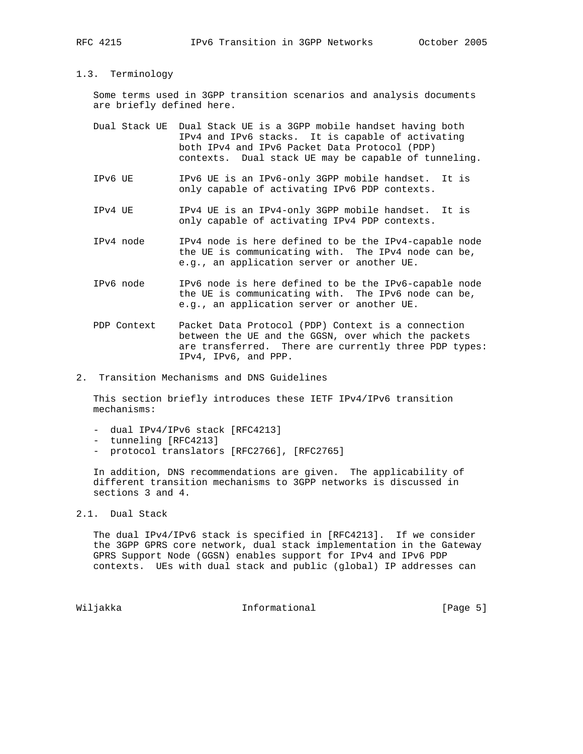#### 1.3. Terminology

 Some terms used in 3GPP transition scenarios and analysis documents are briefly defined here.

| Dual Stack UE Dual Stack UE is a 3GPP mobile handset having both |
|------------------------------------------------------------------|
| IPv4 and IPv6 stacks. It is capable of activating                |
| both IPv4 and IPv6 Packet Data Protocol (PDP)                    |
| contexts. Dual stack UE may be capable of tunneling.             |

- IPv6 UE IPv6 UE is an IPv6-only 3GPP mobile handset. It is only capable of activating IPv6 PDP contexts.
- IPv4 UE IPv4 UE is an IPv4-only 3GPP mobile handset. It is only capable of activating IPv4 PDP contexts.
- IPv4 node IPv4 node is here defined to be the IPv4-capable node the UE is communicating with. The IPv4 node can be, e.g., an application server or another UE.
- IPv6 node IPv6 node is here defined to be the IPv6-capable node the UE is communicating with. The IPv6 node can be, e.g., an application server or another UE.
- PDP Context Packet Data Protocol (PDP) Context is a connection between the UE and the GGSN, over which the packets are transferred. There are currently three PDP types: IPv4, IPv6, and PPP.
- 2. Transition Mechanisms and DNS Guidelines

 This section briefly introduces these IETF IPv4/IPv6 transition mechanisms:

- dual IPv4/IPv6 stack [RFC4213]
- tunneling [RFC4213]
- protocol translators [RFC2766], [RFC2765]

 In addition, DNS recommendations are given. The applicability of different transition mechanisms to 3GPP networks is discussed in sections 3 and 4.

2.1. Dual Stack

 The dual IPv4/IPv6 stack is specified in [RFC4213]. If we consider the 3GPP GPRS core network, dual stack implementation in the Gateway GPRS Support Node (GGSN) enables support for IPv4 and IPv6 PDP contexts. UEs with dual stack and public (global) IP addresses can

Wiljakka **Informational** Informational [Page 5]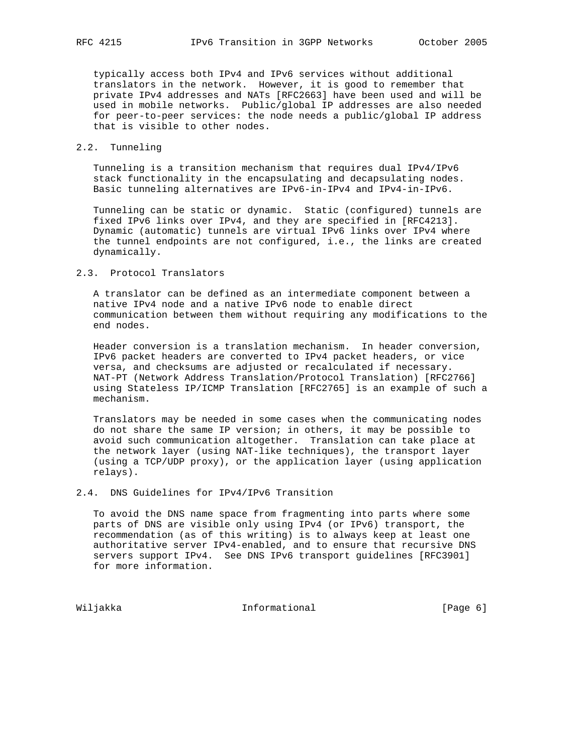typically access both IPv4 and IPv6 services without additional translators in the network. However, it is good to remember that private IPv4 addresses and NATs [RFC2663] have been used and will be used in mobile networks. Public/global IP addresses are also needed for peer-to-peer services: the node needs a public/global IP address that is visible to other nodes.

# 2.2. Tunneling

 Tunneling is a transition mechanism that requires dual IPv4/IPv6 stack functionality in the encapsulating and decapsulating nodes. Basic tunneling alternatives are IPv6-in-IPv4 and IPv4-in-IPv6.

 Tunneling can be static or dynamic. Static (configured) tunnels are fixed IPv6 links over IPv4, and they are specified in [RFC4213]. Dynamic (automatic) tunnels are virtual IPv6 links over IPv4 where the tunnel endpoints are not configured, i.e., the links are created dynamically.

#### 2.3. Protocol Translators

 A translator can be defined as an intermediate component between a native IPv4 node and a native IPv6 node to enable direct communication between them without requiring any modifications to the end nodes.

 Header conversion is a translation mechanism. In header conversion, IPv6 packet headers are converted to IPv4 packet headers, or vice versa, and checksums are adjusted or recalculated if necessary. NAT-PT (Network Address Translation/Protocol Translation) [RFC2766] using Stateless IP/ICMP Translation [RFC2765] is an example of such a mechanism.

 Translators may be needed in some cases when the communicating nodes do not share the same IP version; in others, it may be possible to avoid such communication altogether. Translation can take place at the network layer (using NAT-like techniques), the transport layer (using a TCP/UDP proxy), or the application layer (using application relays).

# 2.4. DNS Guidelines for IPv4/IPv6 Transition

 To avoid the DNS name space from fragmenting into parts where some parts of DNS are visible only using IPv4 (or IPv6) transport, the recommendation (as of this writing) is to always keep at least one authoritative server IPv4-enabled, and to ensure that recursive DNS servers support IPv4. See DNS IPv6 transport guidelines [RFC3901] for more information.

Wiljakka 10 Informational 1999 [Page 6]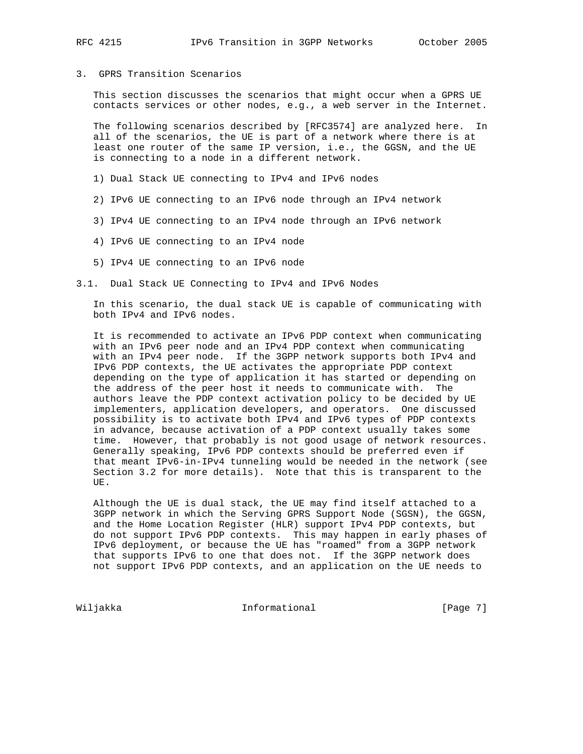# 3. GPRS Transition Scenarios

 This section discusses the scenarios that might occur when a GPRS UE contacts services or other nodes, e.g., a web server in the Internet.

 The following scenarios described by [RFC3574] are analyzed here. In all of the scenarios, the UE is part of a network where there is at least one router of the same IP version, i.e., the GGSN, and the UE is connecting to a node in a different network.

- 1) Dual Stack UE connecting to IPv4 and IPv6 nodes
- 2) IPv6 UE connecting to an IPv6 node through an IPv4 network
- 3) IPv4 UE connecting to an IPv4 node through an IPv6 network
- 4) IPv6 UE connecting to an IPv4 node
- 5) IPv4 UE connecting to an IPv6 node
- 3.1. Dual Stack UE Connecting to IPv4 and IPv6 Nodes

 In this scenario, the dual stack UE is capable of communicating with both IPv4 and IPv6 nodes.

 It is recommended to activate an IPv6 PDP context when communicating with an IPv6 peer node and an IPv4 PDP context when communicating with an IPv4 peer node. If the 3GPP network supports both IPv4 and IPv6 PDP contexts, the UE activates the appropriate PDP context depending on the type of application it has started or depending on the address of the peer host it needs to communicate with. The authors leave the PDP context activation policy to be decided by UE implementers, application developers, and operators. One discussed possibility is to activate both IPv4 and IPv6 types of PDP contexts in advance, because activation of a PDP context usually takes some time. However, that probably is not good usage of network resources. Generally speaking, IPv6 PDP contexts should be preferred even if that meant IPv6-in-IPv4 tunneling would be needed in the network (see Section 3.2 for more details). Note that this is transparent to the UE.

 Although the UE is dual stack, the UE may find itself attached to a 3GPP network in which the Serving GPRS Support Node (SGSN), the GGSN, and the Home Location Register (HLR) support IPv4 PDP contexts, but do not support IPv6 PDP contexts. This may happen in early phases of IPv6 deployment, or because the UE has "roamed" from a 3GPP network that supports IPv6 to one that does not. If the 3GPP network does not support IPv6 PDP contexts, and an application on the UE needs to

Wiljakka **Informational Informational** [Page 7]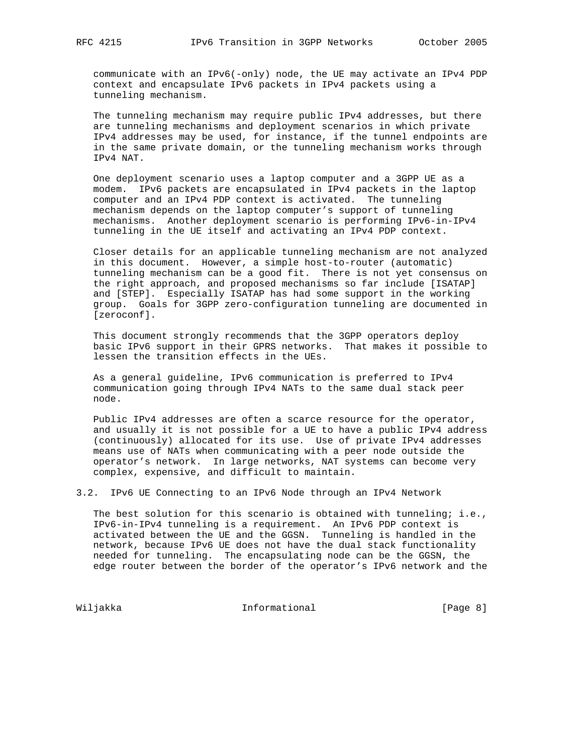communicate with an IPv6(-only) node, the UE may activate an IPv4 PDP context and encapsulate IPv6 packets in IPv4 packets using a tunneling mechanism.

 The tunneling mechanism may require public IPv4 addresses, but there are tunneling mechanisms and deployment scenarios in which private IPv4 addresses may be used, for instance, if the tunnel endpoints are in the same private domain, or the tunneling mechanism works through IPv4 NAT.

 One deployment scenario uses a laptop computer and a 3GPP UE as a modem. IPv6 packets are encapsulated in IPv4 packets in the laptop computer and an IPv4 PDP context is activated. The tunneling mechanism depends on the laptop computer's support of tunneling mechanisms. Another deployment scenario is performing IPv6-in-IPv4 tunneling in the UE itself and activating an IPv4 PDP context.

 Closer details for an applicable tunneling mechanism are not analyzed in this document. However, a simple host-to-router (automatic) tunneling mechanism can be a good fit. There is not yet consensus on the right approach, and proposed mechanisms so far include [ISATAP] and [STEP]. Especially ISATAP has had some support in the working group. Goals for 3GPP zero-configuration tunneling are documented in [zeroconf].

 This document strongly recommends that the 3GPP operators deploy basic IPv6 support in their GPRS networks. That makes it possible to lessen the transition effects in the UEs.

 As a general guideline, IPv6 communication is preferred to IPv4 communication going through IPv4 NATs to the same dual stack peer node.

 Public IPv4 addresses are often a scarce resource for the operator, and usually it is not possible for a UE to have a public IPv4 address (continuously) allocated for its use. Use of private IPv4 addresses means use of NATs when communicating with a peer node outside the operator's network. In large networks, NAT systems can become very complex, expensive, and difficult to maintain.

3.2. IPv6 UE Connecting to an IPv6 Node through an IPv4 Network

The best solution for this scenario is obtained with tunneling; i.e., IPv6-in-IPv4 tunneling is a requirement. An IPv6 PDP context is activated between the UE and the GGSN. Tunneling is handled in the network, because IPv6 UE does not have the dual stack functionality needed for tunneling. The encapsulating node can be the GGSN, the edge router between the border of the operator's IPv6 network and the

Wiljakka **Informational Informational** [Page 8]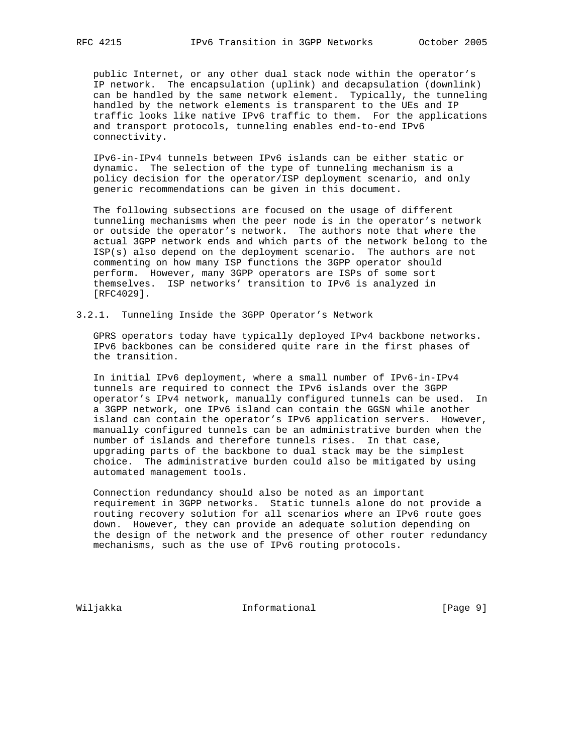public Internet, or any other dual stack node within the operator's IP network. The encapsulation (uplink) and decapsulation (downlink) can be handled by the same network element. Typically, the tunneling handled by the network elements is transparent to the UEs and IP traffic looks like native IPv6 traffic to them. For the applications and transport protocols, tunneling enables end-to-end IPv6 connectivity.

 IPv6-in-IPv4 tunnels between IPv6 islands can be either static or dynamic. The selection of the type of tunneling mechanism is a policy decision for the operator/ISP deployment scenario, and only generic recommendations can be given in this document.

 The following subsections are focused on the usage of different tunneling mechanisms when the peer node is in the operator's network or outside the operator's network. The authors note that where the actual 3GPP network ends and which parts of the network belong to the ISP(s) also depend on the deployment scenario. The authors are not commenting on how many ISP functions the 3GPP operator should perform. However, many 3GPP operators are ISPs of some sort themselves. ISP networks' transition to IPv6 is analyzed in [RFC4029].

3.2.1. Tunneling Inside the 3GPP Operator's Network

 GPRS operators today have typically deployed IPv4 backbone networks. IPv6 backbones can be considered quite rare in the first phases of the transition.

 In initial IPv6 deployment, where a small number of IPv6-in-IPv4 tunnels are required to connect the IPv6 islands over the 3GPP operator's IPv4 network, manually configured tunnels can be used. In a 3GPP network, one IPv6 island can contain the GGSN while another island can contain the operator's IPv6 application servers. However, manually configured tunnels can be an administrative burden when the number of islands and therefore tunnels rises. In that case, upgrading parts of the backbone to dual stack may be the simplest choice. The administrative burden could also be mitigated by using automated management tools.

 Connection redundancy should also be noted as an important requirement in 3GPP networks. Static tunnels alone do not provide a routing recovery solution for all scenarios where an IPv6 route goes down. However, they can provide an adequate solution depending on the design of the network and the presence of other router redundancy mechanisms, such as the use of IPv6 routing protocols.

Wiljakka **Informational** Informational [Page 9]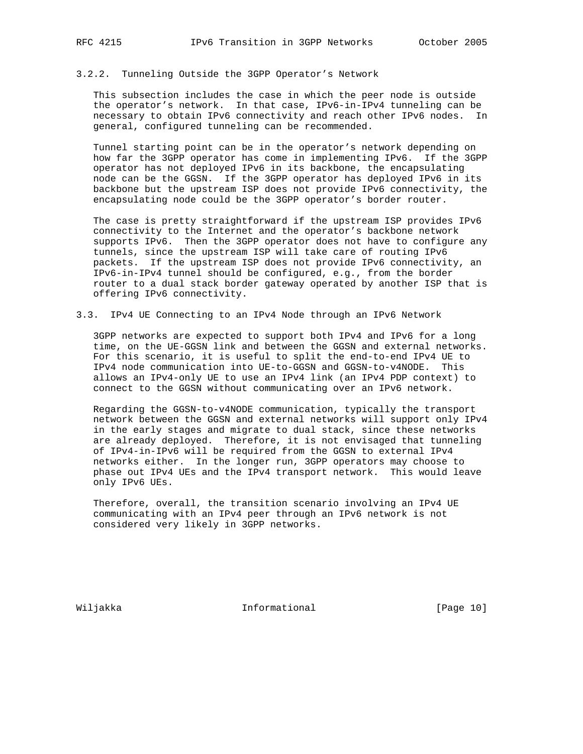### 3.2.2. Tunneling Outside the 3GPP Operator's Network

 This subsection includes the case in which the peer node is outside the operator's network. In that case, IPv6-in-IPv4 tunneling can be necessary to obtain IPv6 connectivity and reach other IPv6 nodes. In general, configured tunneling can be recommended.

 Tunnel starting point can be in the operator's network depending on how far the 3GPP operator has come in implementing IPv6. If the 3GPP operator has not deployed IPv6 in its backbone, the encapsulating node can be the GGSN. If the 3GPP operator has deployed IPv6 in its backbone but the upstream ISP does not provide IPv6 connectivity, the encapsulating node could be the 3GPP operator's border router.

 The case is pretty straightforward if the upstream ISP provides IPv6 connectivity to the Internet and the operator's backbone network supports IPv6. Then the 3GPP operator does not have to configure any tunnels, since the upstream ISP will take care of routing IPv6 packets. If the upstream ISP does not provide IPv6 connectivity, an IPv6-in-IPv4 tunnel should be configured, e.g., from the border router to a dual stack border gateway operated by another ISP that is offering IPv6 connectivity.

3.3. IPv4 UE Connecting to an IPv4 Node through an IPv6 Network

 3GPP networks are expected to support both IPv4 and IPv6 for a long time, on the UE-GGSN link and between the GGSN and external networks. For this scenario, it is useful to split the end-to-end IPv4 UE to IPv4 node communication into UE-to-GGSN and GGSN-to-v4NODE. This allows an IPv4-only UE to use an IPv4 link (an IPv4 PDP context) to connect to the GGSN without communicating over an IPv6 network.

 Regarding the GGSN-to-v4NODE communication, typically the transport network between the GGSN and external networks will support only IPv4 in the early stages and migrate to dual stack, since these networks are already deployed. Therefore, it is not envisaged that tunneling of IPv4-in-IPv6 will be required from the GGSN to external IPv4 networks either. In the longer run, 3GPP operators may choose to phase out IPv4 UEs and the IPv4 transport network. This would leave only IPv6 UEs.

 Therefore, overall, the transition scenario involving an IPv4 UE communicating with an IPv4 peer through an IPv6 network is not considered very likely in 3GPP networks.

Wiljakka **Informational** Informational [Page 10]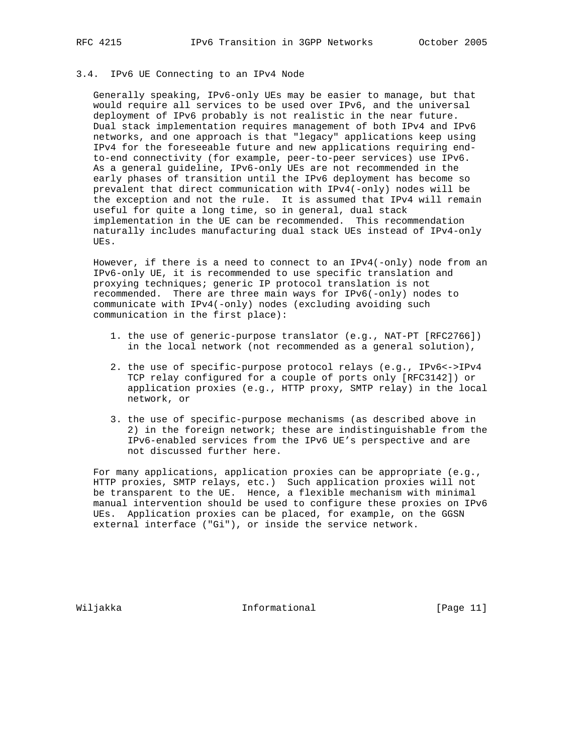# 3.4. IPv6 UE Connecting to an IPv4 Node

 Generally speaking, IPv6-only UEs may be easier to manage, but that would require all services to be used over IPv6, and the universal deployment of IPv6 probably is not realistic in the near future. Dual stack implementation requires management of both IPv4 and IPv6 networks, and one approach is that "legacy" applications keep using IPv4 for the foreseeable future and new applications requiring end to-end connectivity (for example, peer-to-peer services) use IPv6. As a general guideline, IPv6-only UEs are not recommended in the early phases of transition until the IPv6 deployment has become so prevalent that direct communication with IPv4(-only) nodes will be the exception and not the rule. It is assumed that IPv4 will remain useful for quite a long time, so in general, dual stack implementation in the UE can be recommended. This recommendation naturally includes manufacturing dual stack UEs instead of IPv4-only UEs.

However, if there is a need to connect to an IPv4(-only) node from an IPv6-only UE, it is recommended to use specific translation and proxying techniques; generic IP protocol translation is not recommended. There are three main ways for IPv6(-only) nodes to communicate with IPv4(-only) nodes (excluding avoiding such communication in the first place):

- 1. the use of generic-purpose translator (e.g., NAT-PT [RFC2766]) in the local network (not recommended as a general solution),
- 2. the use of specific-purpose protocol relays (e.g., IPv6<->IPv4 TCP relay configured for a couple of ports only [RFC3142]) or application proxies (e.g., HTTP proxy, SMTP relay) in the local network, or
- 3. the use of specific-purpose mechanisms (as described above in 2) in the foreign network; these are indistinguishable from the IPv6-enabled services from the IPv6 UE's perspective and are not discussed further here.

 For many applications, application proxies can be appropriate (e.g., HTTP proxies, SMTP relays, etc.) Such application proxies will not be transparent to the UE. Hence, a flexible mechanism with minimal manual intervention should be used to configure these proxies on IPv6 UEs. Application proxies can be placed, for example, on the GGSN external interface ("Gi"), or inside the service network.

Wiljakka **Informational** Informational [Page 11]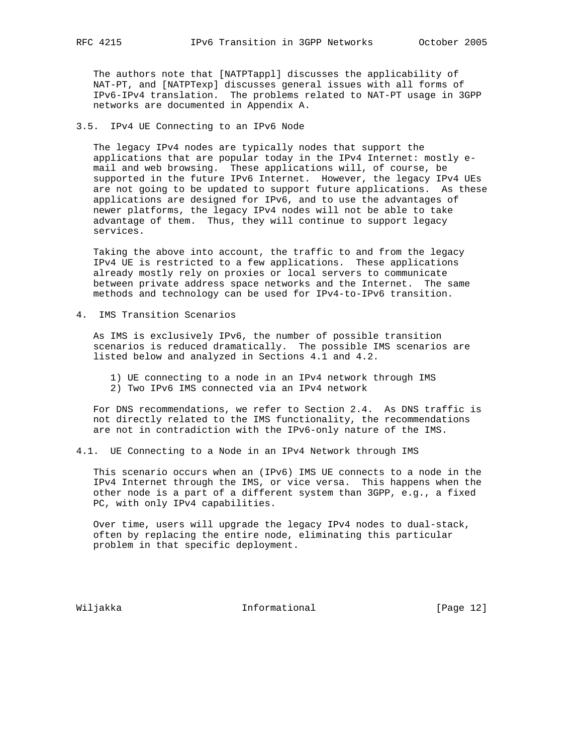The authors note that [NATPTappl] discusses the applicability of NAT-PT, and [NATPTexp] discusses general issues with all forms of IPv6-IPv4 translation. The problems related to NAT-PT usage in 3GPP networks are documented in Appendix A.

3.5. IPv4 UE Connecting to an IPv6 Node

 The legacy IPv4 nodes are typically nodes that support the applications that are popular today in the IPv4 Internet: mostly e mail and web browsing. These applications will, of course, be supported in the future IPv6 Internet. However, the legacy IPv4 UEs are not going to be updated to support future applications. As these applications are designed for IPv6, and to use the advantages of newer platforms, the legacy IPv4 nodes will not be able to take advantage of them. Thus, they will continue to support legacy services.

 Taking the above into account, the traffic to and from the legacy IPv4 UE is restricted to a few applications. These applications already mostly rely on proxies or local servers to communicate between private address space networks and the Internet. The same methods and technology can be used for IPv4-to-IPv6 transition.

4. IMS Transition Scenarios

 As IMS is exclusively IPv6, the number of possible transition scenarios is reduced dramatically. The possible IMS scenarios are listed below and analyzed in Sections 4.1 and 4.2.

 1) UE connecting to a node in an IPv4 network through IMS 2) Two IPv6 IMS connected via an IPv4 network

 For DNS recommendations, we refer to Section 2.4. As DNS traffic is not directly related to the IMS functionality, the recommendations are not in contradiction with the IPv6-only nature of the IMS.

4.1. UE Connecting to a Node in an IPv4 Network through IMS

 This scenario occurs when an (IPv6) IMS UE connects to a node in the IPv4 Internet through the IMS, or vice versa. This happens when the other node is a part of a different system than 3GPP, e.g., a fixed PC, with only IPv4 capabilities.

 Over time, users will upgrade the legacy IPv4 nodes to dual-stack, often by replacing the entire node, eliminating this particular problem in that specific deployment.

Wiljakka **Informational** Informational [Page 12]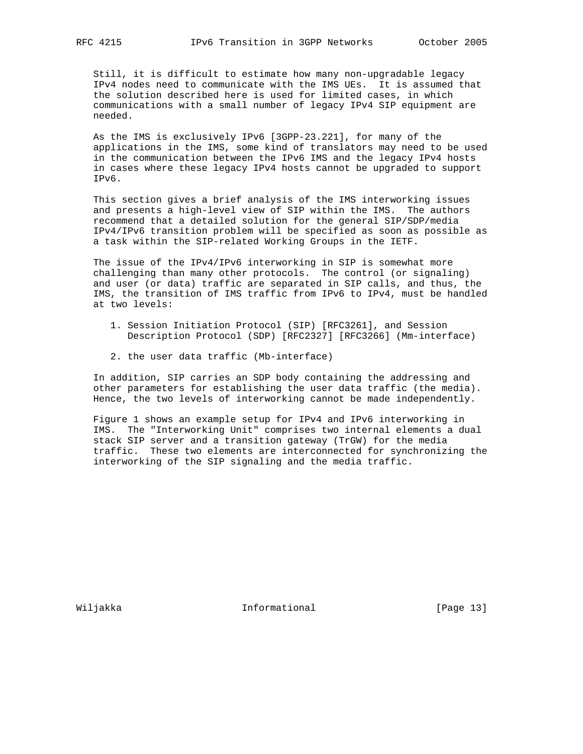Still, it is difficult to estimate how many non-upgradable legacy IPv4 nodes need to communicate with the IMS UEs. It is assumed that the solution described here is used for limited cases, in which communications with a small number of legacy IPv4 SIP equipment are needed.

 As the IMS is exclusively IPv6 [3GPP-23.221], for many of the applications in the IMS, some kind of translators may need to be used in the communication between the IPv6 IMS and the legacy IPv4 hosts in cases where these legacy IPv4 hosts cannot be upgraded to support IPv6.

 This section gives a brief analysis of the IMS interworking issues and presents a high-level view of SIP within the IMS. The authors recommend that a detailed solution for the general SIP/SDP/media IPv4/IPv6 transition problem will be specified as soon as possible as a task within the SIP-related Working Groups in the IETF.

 The issue of the IPv4/IPv6 interworking in SIP is somewhat more challenging than many other protocols. The control (or signaling) and user (or data) traffic are separated in SIP calls, and thus, the IMS, the transition of IMS traffic from IPv6 to IPv4, must be handled at two levels:

- 1. Session Initiation Protocol (SIP) [RFC3261], and Session Description Protocol (SDP) [RFC2327] [RFC3266] (Mm-interface)
- 2. the user data traffic (Mb-interface)

 In addition, SIP carries an SDP body containing the addressing and other parameters for establishing the user data traffic (the media). Hence, the two levels of interworking cannot be made independently.

 Figure 1 shows an example setup for IPv4 and IPv6 interworking in IMS. The "Interworking Unit" comprises two internal elements a dual stack SIP server and a transition gateway (TrGW) for the media traffic. These two elements are interconnected for synchronizing the interworking of the SIP signaling and the media traffic.

Wiljakka **Informational** Informational [Page 13]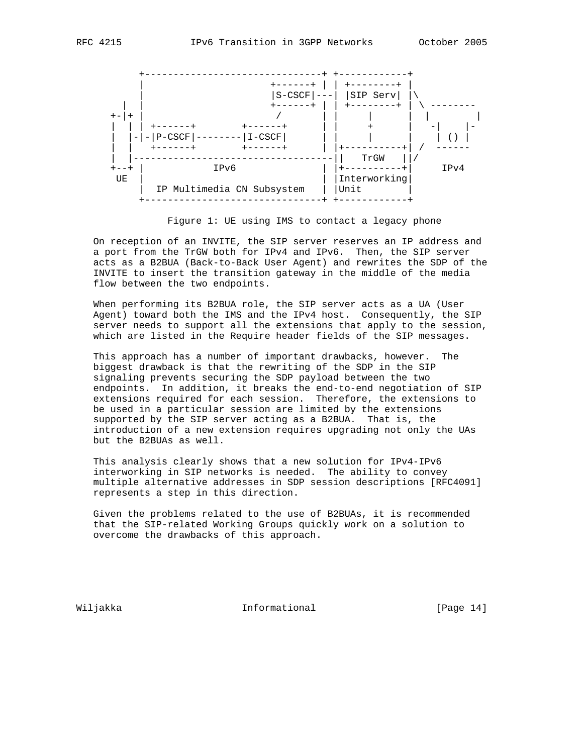

Figure 1: UE using IMS to contact a legacy phone

 On reception of an INVITE, the SIP server reserves an IP address and a port from the TrGW both for IPv4 and IPv6. Then, the SIP server acts as a B2BUA (Back-to-Back User Agent) and rewrites the SDP of the INVITE to insert the transition gateway in the middle of the media flow between the two endpoints.

 When performing its B2BUA role, the SIP server acts as a UA (User Agent) toward both the IMS and the IPv4 host. Consequently, the SIP server needs to support all the extensions that apply to the session, which are listed in the Require header fields of the SIP messages.

 This approach has a number of important drawbacks, however. The biggest drawback is that the rewriting of the SDP in the SIP signaling prevents securing the SDP payload between the two endpoints. In addition, it breaks the end-to-end negotiation of SIP extensions required for each session. Therefore, the extensions to be used in a particular session are limited by the extensions supported by the SIP server acting as a B2BUA. That is, the introduction of a new extension requires upgrading not only the UAs but the B2BUAs as well.

 This analysis clearly shows that a new solution for IPv4-IPv6 interworking in SIP networks is needed. The ability to convey multiple alternative addresses in SDP session descriptions [RFC4091] represents a step in this direction.

 Given the problems related to the use of B2BUAs, it is recommended that the SIP-related Working Groups quickly work on a solution to overcome the drawbacks of this approach.

Wiljakka **Informational** Informational [Page 14]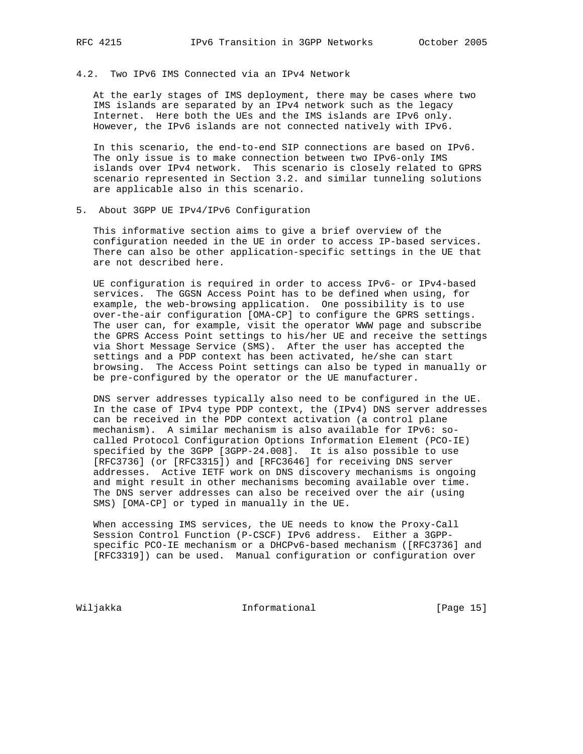# 4.2. Two IPv6 IMS Connected via an IPv4 Network

 At the early stages of IMS deployment, there may be cases where two IMS islands are separated by an IPv4 network such as the legacy Internet. Here both the UEs and the IMS islands are IPv6 only. However, the IPv6 islands are not connected natively with IPv6.

 In this scenario, the end-to-end SIP connections are based on IPv6. The only issue is to make connection between two IPv6-only IMS islands over IPv4 network. This scenario is closely related to GPRS scenario represented in Section 3.2. and similar tunneling solutions are applicable also in this scenario.

5. About 3GPP UE IPv4/IPv6 Configuration

 This informative section aims to give a brief overview of the configuration needed in the UE in order to access IP-based services. There can also be other application-specific settings in the UE that are not described here.

 UE configuration is required in order to access IPv6- or IPv4-based services. The GGSN Access Point has to be defined when using, for example, the web-browsing application. One possibility is to use over-the-air configuration [OMA-CP] to configure the GPRS settings. The user can, for example, visit the operator WWW page and subscribe the GPRS Access Point settings to his/her UE and receive the settings via Short Message Service (SMS). After the user has accepted the settings and a PDP context has been activated, he/she can start browsing. The Access Point settings can also be typed in manually or be pre-configured by the operator or the UE manufacturer.

 DNS server addresses typically also need to be configured in the UE. In the case of IPv4 type PDP context, the (IPv4) DNS server addresses can be received in the PDP context activation (a control plane mechanism). A similar mechanism is also available for IPv6: so called Protocol Configuration Options Information Element (PCO-IE) specified by the 3GPP [3GPP-24.008]. It is also possible to use [RFC3736] (or [RFC3315]) and [RFC3646] for receiving DNS server addresses. Active IETF work on DNS discovery mechanisms is ongoing and might result in other mechanisms becoming available over time. The DNS server addresses can also be received over the air (using SMS) [OMA-CP] or typed in manually in the UE.

 When accessing IMS services, the UE needs to know the Proxy-Call Session Control Function (P-CSCF) IPv6 address. Either a 3GPP specific PCO-IE mechanism or a DHCPv6-based mechanism ([RFC3736] and [RFC3319]) can be used. Manual configuration or configuration over

Wiljakka 15 Informational 1999 [Page 15]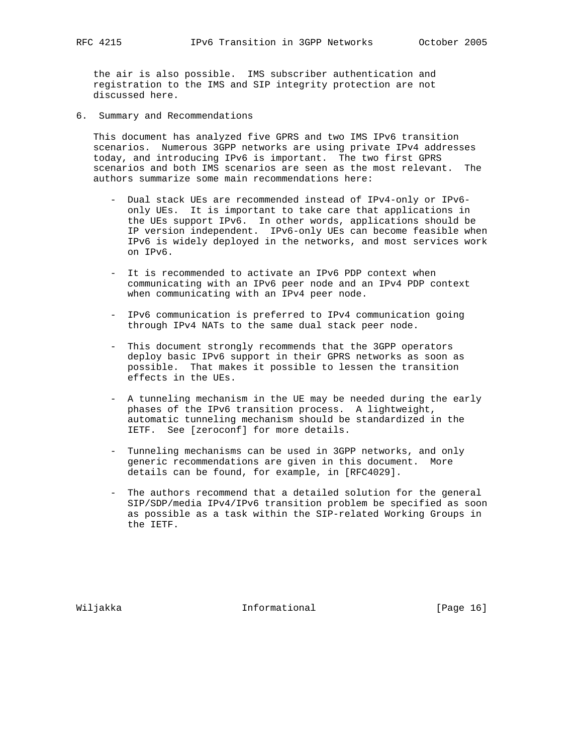the air is also possible. IMS subscriber authentication and registration to the IMS and SIP integrity protection are not discussed here.

6. Summary and Recommendations

 This document has analyzed five GPRS and two IMS IPv6 transition scenarios. Numerous 3GPP networks are using private IPv4 addresses today, and introducing IPv6 is important. The two first GPRS scenarios and both IMS scenarios are seen as the most relevant. The authors summarize some main recommendations here:

- Dual stack UEs are recommended instead of IPv4-only or IPv6 only UEs. It is important to take care that applications in the UEs support IPv6. In other words, applications should be IP version independent. IPv6-only UEs can become feasible when IPv6 is widely deployed in the networks, and most services work on IPv6.
- It is recommended to activate an IPv6 PDP context when communicating with an IPv6 peer node and an IPv4 PDP context when communicating with an IPv4 peer node.
- IPv6 communication is preferred to IPv4 communication going through IPv4 NATs to the same dual stack peer node.
- This document strongly recommends that the 3GPP operators deploy basic IPv6 support in their GPRS networks as soon as possible. That makes it possible to lessen the transition effects in the UEs.
- A tunneling mechanism in the UE may be needed during the early phases of the IPv6 transition process. A lightweight, automatic tunneling mechanism should be standardized in the IETF. See [zeroconf] for more details.
- Tunneling mechanisms can be used in 3GPP networks, and only generic recommendations are given in this document. More details can be found, for example, in [RFC4029].
- The authors recommend that a detailed solution for the general SIP/SDP/media IPv4/IPv6 transition problem be specified as soon as possible as a task within the SIP-related Working Groups in the IETF.

Wiljakka **Informational** Informational [Page 16]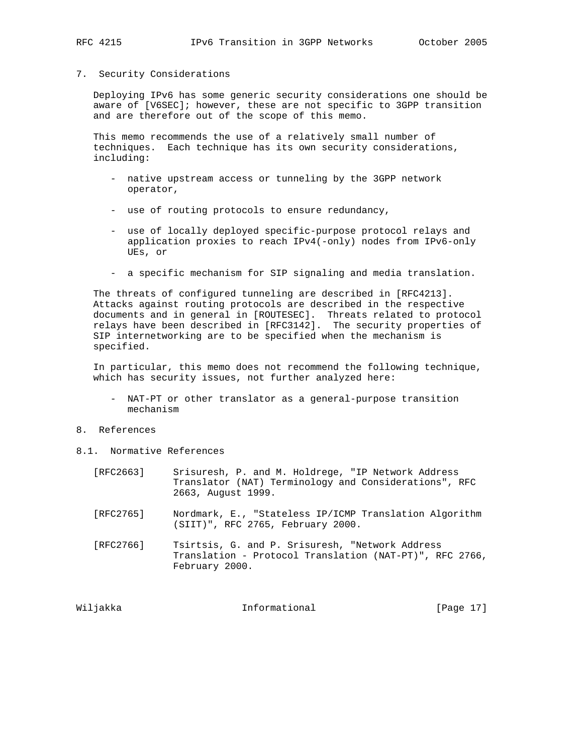#### 7. Security Considerations

 Deploying IPv6 has some generic security considerations one should be aware of [V6SEC]; however, these are not specific to 3GPP transition and are therefore out of the scope of this memo.

 This memo recommends the use of a relatively small number of techniques. Each technique has its own security considerations, including:

- native upstream access or tunneling by the 3GPP network operator,
- use of routing protocols to ensure redundancy,
- use of locally deployed specific-purpose protocol relays and application proxies to reach IPv4(-only) nodes from IPv6-only UEs, or
- a specific mechanism for SIP signaling and media translation.

 The threats of configured tunneling are described in [RFC4213]. Attacks against routing protocols are described in the respective documents and in general in [ROUTESEC]. Threats related to protocol relays have been described in [RFC3142]. The security properties of SIP internetworking are to be specified when the mechanism is specified.

 In particular, this memo does not recommend the following technique, which has security issues, not further analyzed here:

- NAT-PT or other translator as a general-purpose transition mechanism
- 8. References
- 8.1. Normative References
	- [RFC2663] Srisuresh, P. and M. Holdrege, "IP Network Address Translator (NAT) Terminology and Considerations", RFC 2663, August 1999.
	- [RFC2765] Nordmark, E., "Stateless IP/ICMP Translation Algorithm (SIIT)", RFC 2765, February 2000.
	- [RFC2766] Tsirtsis, G. and P. Srisuresh, "Network Address Translation - Protocol Translation (NAT-PT)", RFC 2766, February 2000.

Wiljakka **Informational** Informational [Page 17]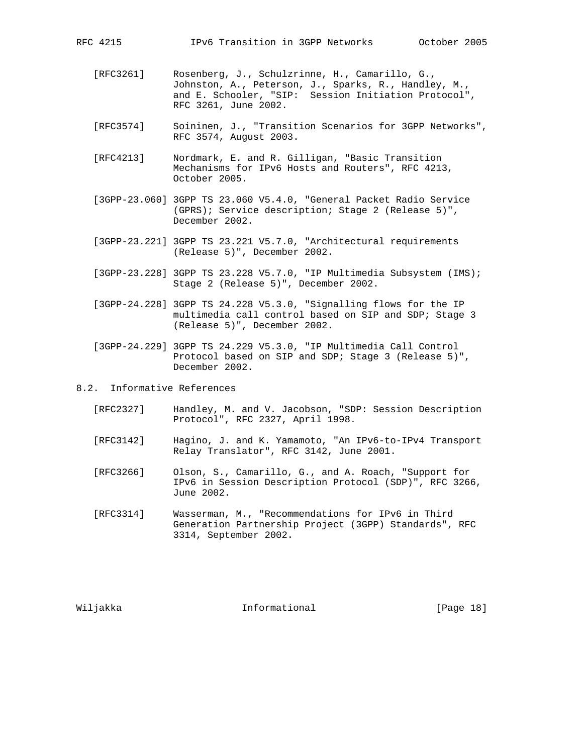- [RFC3261] Rosenberg, J., Schulzrinne, H., Camarillo, G., Johnston, A., Peterson, J., Sparks, R., Handley, M., and E. Schooler, "SIP: Session Initiation Protocol", RFC 3261, June 2002.
- [RFC3574] Soininen, J., "Transition Scenarios for 3GPP Networks", RFC 3574, August 2003.
- [RFC4213] Nordmark, E. and R. Gilligan, "Basic Transition Mechanisms for IPv6 Hosts and Routers", RFC 4213, October 2005.
- [3GPP-23.060] 3GPP TS 23.060 V5.4.0, "General Packet Radio Service (GPRS); Service description; Stage 2 (Release 5)", December 2002.
- [3GPP-23.221] 3GPP TS 23.221 V5.7.0, "Architectural requirements (Release 5)", December 2002.
- [3GPP-23.228] 3GPP TS 23.228 V5.7.0, "IP Multimedia Subsystem (IMS); Stage 2 (Release 5)", December 2002.
- [3GPP-24.228] 3GPP TS 24.228 V5.3.0, "Signalling flows for the IP multimedia call control based on SIP and SDP; Stage 3 (Release 5)", December 2002.
- [3GPP-24.229] 3GPP TS 24.229 V5.3.0, "IP Multimedia Call Control Protocol based on SIP and SDP; Stage 3 (Release 5)", December 2002.

8.2. Informative References

- [RFC2327] Handley, M. and V. Jacobson, "SDP: Session Description Protocol", RFC 2327, April 1998.
- [RFC3142] Hagino, J. and K. Yamamoto, "An IPv6-to-IPv4 Transport Relay Translator", RFC 3142, June 2001.
- [RFC3266] Olson, S., Camarillo, G., and A. Roach, "Support for IPv6 in Session Description Protocol (SDP)", RFC 3266, June 2002.
- [RFC3314] Wasserman, M., "Recommendations for IPv6 in Third Generation Partnership Project (3GPP) Standards", RFC 3314, September 2002.

Wiljakka 1999 Informational 1999 ISD Informational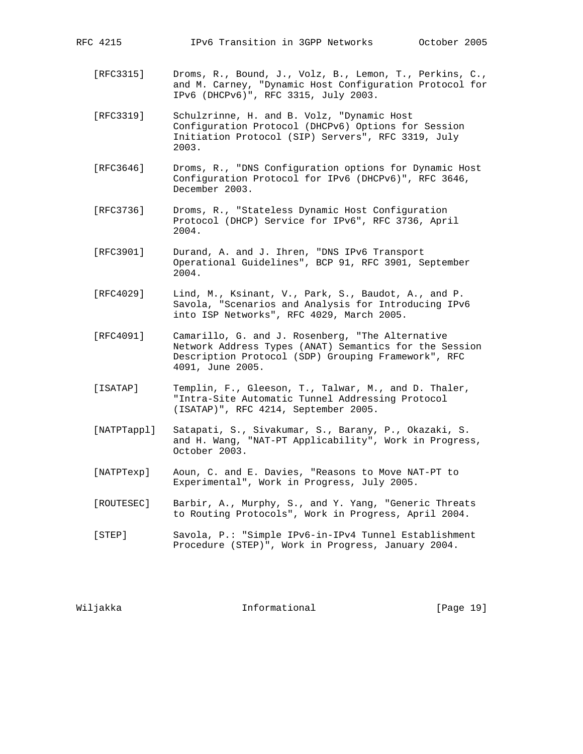- [RFC3315] Droms, R., Bound, J., Volz, B., Lemon, T., Perkins, C., and M. Carney, "Dynamic Host Configuration Protocol for IPv6 (DHCPv6)", RFC 3315, July 2003.
- [RFC3319] Schulzrinne, H. and B. Volz, "Dynamic Host Configuration Protocol (DHCPv6) Options for Session Initiation Protocol (SIP) Servers", RFC 3319, July 2003.
- [RFC3646] Droms, R., "DNS Configuration options for Dynamic Host Configuration Protocol for IPv6 (DHCPv6)", RFC 3646, December 2003.
- [RFC3736] Droms, R., "Stateless Dynamic Host Configuration Protocol (DHCP) Service for IPv6", RFC 3736, April 2004.
- [RFC3901] Durand, A. and J. Ihren, "DNS IPv6 Transport Operational Guidelines", BCP 91, RFC 3901, September 2004.
- [RFC4029] Lind, M., Ksinant, V., Park, S., Baudot, A., and P. Savola, "Scenarios and Analysis for Introducing IPv6 into ISP Networks", RFC 4029, March 2005.
- [RFC4091] Camarillo, G. and J. Rosenberg, "The Alternative Network Address Types (ANAT) Semantics for the Session Description Protocol (SDP) Grouping Framework", RFC 4091, June 2005.
- [ISATAP] Templin, F., Gleeson, T., Talwar, M., and D. Thaler, "Intra-Site Automatic Tunnel Addressing Protocol (ISATAP)", RFC 4214, September 2005.
- [NATPTappl] Satapati, S., Sivakumar, S., Barany, P., Okazaki, S. and H. Wang, "NAT-PT Applicability", Work in Progress, October 2003.
- [NATPTexp] Aoun, C. and E. Davies, "Reasons to Move NAT-PT to Experimental", Work in Progress, July 2005.
- [ROUTESEC] Barbir, A., Murphy, S., and Y. Yang, "Generic Threats to Routing Protocols", Work in Progress, April 2004.
- [STEP] Savola, P.: "Simple IPv6-in-IPv4 Tunnel Establishment Procedure (STEP)", Work in Progress, January 2004.

Wiljakka **Informational** Informational [Page 19]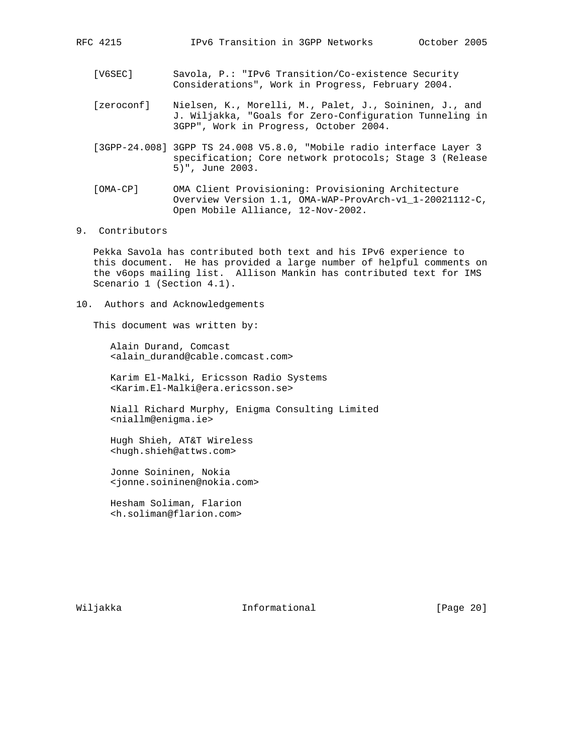- [V6SEC] Savola, P.: "IPv6 Transition/Co-existence Security Considerations", Work in Progress, February 2004.
- [zeroconf] Nielsen, K., Morelli, M., Palet, J., Soininen, J., and J. Wiljakka, "Goals for Zero-Configuration Tunneling in 3GPP", Work in Progress, October 2004.
- [3GPP-24.008] 3GPP TS 24.008 V5.8.0, "Mobile radio interface Layer 3 specification; Core network protocols; Stage 3 (Release 5)", June 2003.
- [OMA-CP] OMA Client Provisioning: Provisioning Architecture Overview Version 1.1, OMA-WAP-ProvArch-v1\_1-20021112-C, Open Mobile Alliance, 12-Nov-2002.

# 9. Contributors

 Pekka Savola has contributed both text and his IPv6 experience to this document. He has provided a large number of helpful comments on the v6ops mailing list. Allison Mankin has contributed text for IMS Scenario 1 (Section 4.1).

10. Authors and Acknowledgements

This document was written by:

 Alain Durand, Comcast <alain\_durand@cable.comcast.com>

 Karim El-Malki, Ericsson Radio Systems <Karim.El-Malki@era.ericsson.se>

 Niall Richard Murphy, Enigma Consulting Limited <niallm@enigma.ie>

 Hugh Shieh, AT&T Wireless <hugh.shieh@attws.com>

 Jonne Soininen, Nokia <jonne.soininen@nokia.com>

 Hesham Soliman, Flarion <h.soliman@flarion.com>

Wiljakka Informational [Page 20]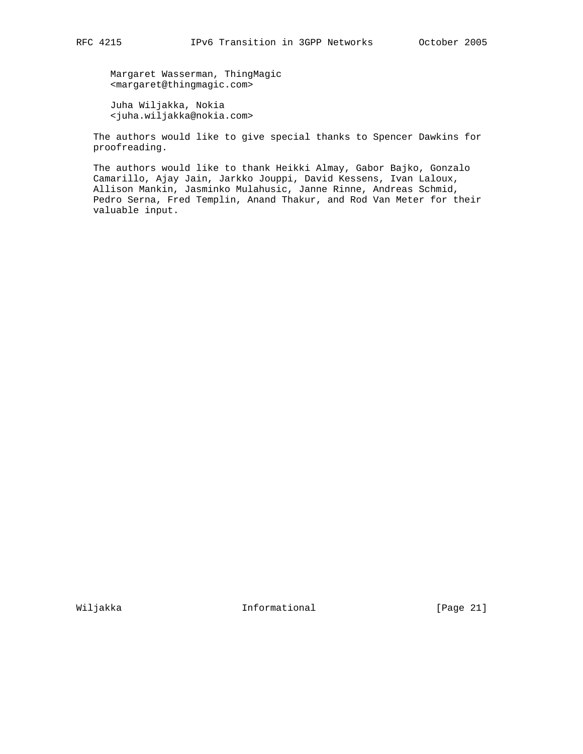Margaret Wasserman, ThingMagic <margaret@thingmagic.com>

 Juha Wiljakka, Nokia <juha.wiljakka@nokia.com>

 The authors would like to give special thanks to Spencer Dawkins for proofreading.

 The authors would like to thank Heikki Almay, Gabor Bajko, Gonzalo Camarillo, Ajay Jain, Jarkko Jouppi, David Kessens, Ivan Laloux, Allison Mankin, Jasminko Mulahusic, Janne Rinne, Andreas Schmid, Pedro Serna, Fred Templin, Anand Thakur, and Rod Van Meter for their valuable input.

Wiljakka **Informational** Informational [Page 21]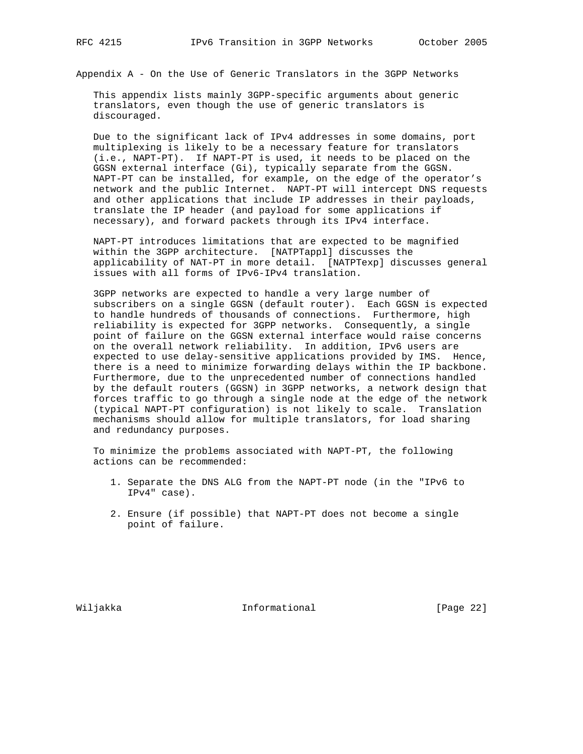Appendix A - On the Use of Generic Translators in the 3GPP Networks

 This appendix lists mainly 3GPP-specific arguments about generic translators, even though the use of generic translators is discouraged.

 Due to the significant lack of IPv4 addresses in some domains, port multiplexing is likely to be a necessary feature for translators (i.e., NAPT-PT). If NAPT-PT is used, it needs to be placed on the GGSN external interface (Gi), typically separate from the GGSN. NAPT-PT can be installed, for example, on the edge of the operator's network and the public Internet. NAPT-PT will intercept DNS requests and other applications that include IP addresses in their payloads, translate the IP header (and payload for some applications if necessary), and forward packets through its IPv4 interface.

 NAPT-PT introduces limitations that are expected to be magnified within the 3GPP architecture. [NATPTappl] discusses the applicability of NAT-PT in more detail. [NATPTexp] discusses general issues with all forms of IPv6-IPv4 translation.

 3GPP networks are expected to handle a very large number of subscribers on a single GGSN (default router). Each GGSN is expected to handle hundreds of thousands of connections. Furthermore, high reliability is expected for 3GPP networks. Consequently, a single point of failure on the GGSN external interface would raise concerns on the overall network reliability. In addition, IPv6 users are expected to use delay-sensitive applications provided by IMS. Hence, there is a need to minimize forwarding delays within the IP backbone. Furthermore, due to the unprecedented number of connections handled by the default routers (GGSN) in 3GPP networks, a network design that forces traffic to go through a single node at the edge of the network (typical NAPT-PT configuration) is not likely to scale. Translation mechanisms should allow for multiple translators, for load sharing and redundancy purposes.

 To minimize the problems associated with NAPT-PT, the following actions can be recommended:

- 1. Separate the DNS ALG from the NAPT-PT node (in the "IPv6 to IPv4" case).
- 2. Ensure (if possible) that NAPT-PT does not become a single point of failure.

Wiljakka Informational [Page 22]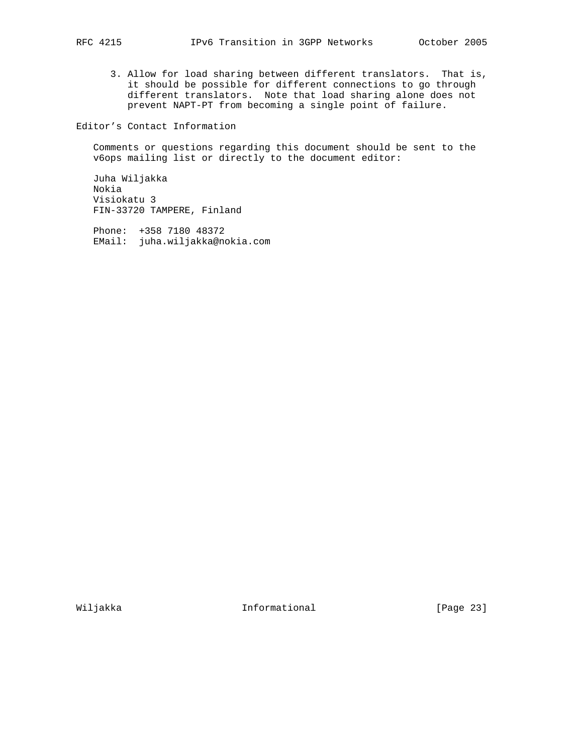3. Allow for load sharing between different translators. That is, it should be possible for different connections to go through different translators. Note that load sharing alone does not prevent NAPT-PT from becoming a single point of failure.

Editor's Contact Information

 Comments or questions regarding this document should be sent to the v6ops mailing list or directly to the document editor:

 Juha Wiljakka Nokia Visiokatu 3 FIN-33720 TAMPERE, Finland

 Phone: +358 7180 48372 EMail: juha.wiljakka@nokia.com

Wiljakka Informational [Page 23]